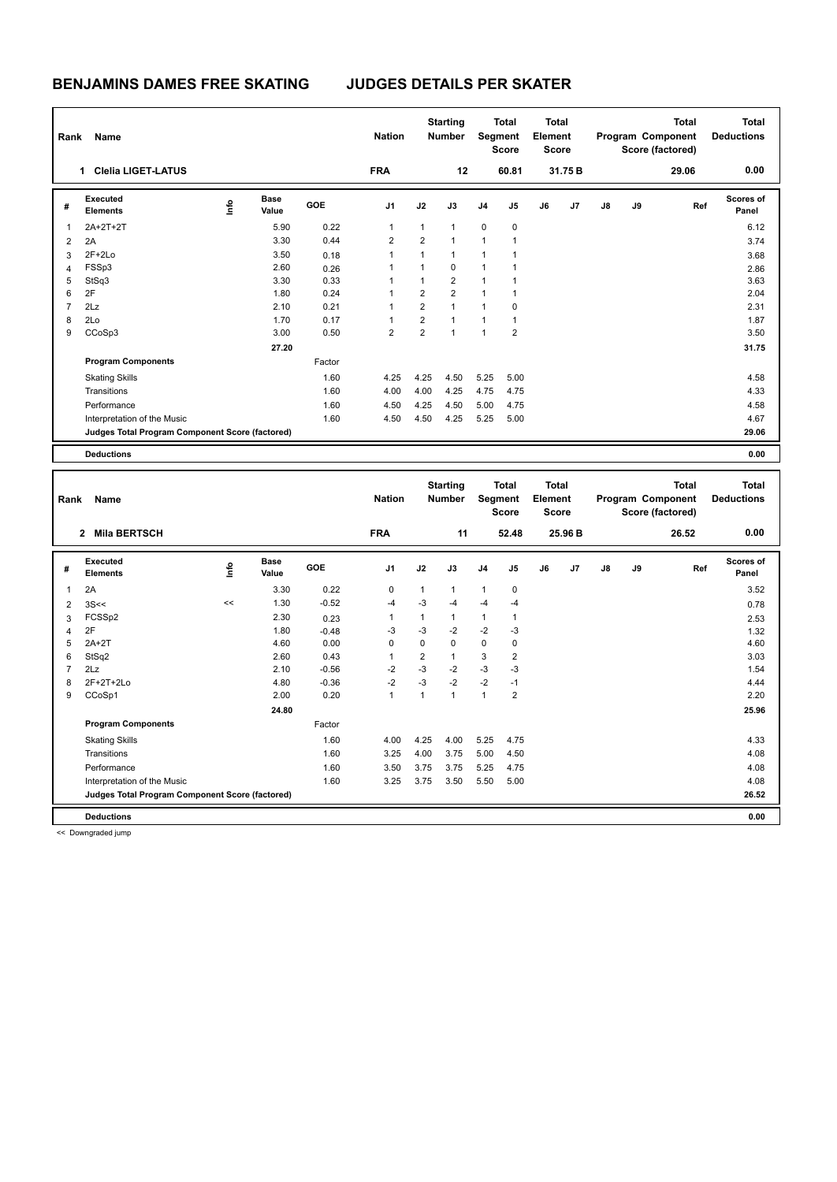| Rank           | Name                                            |      |                      |            | <b>Nation</b>           |                | <b>Starting</b><br><b>Number</b> |                | <b>Total</b><br>Segment<br><b>Score</b> | <b>Total</b><br>Element<br><b>Score</b> |         |    |    | <b>Total</b><br>Program Component<br>Score (factored) | <b>Total</b><br><b>Deductions</b> |
|----------------|-------------------------------------------------|------|----------------------|------------|-------------------------|----------------|----------------------------------|----------------|-----------------------------------------|-----------------------------------------|---------|----|----|-------------------------------------------------------|-----------------------------------|
|                | <b>Clelia LIGET-LATUS</b><br>1                  |      |                      |            | <b>FRA</b>              |                | 12                               |                | 60.81                                   |                                         | 31.75 B |    |    | 29.06                                                 | 0.00                              |
| #              | Executed<br><b>Elements</b>                     | ١mfo | <b>Base</b><br>Value | <b>GOE</b> | J <sub>1</sub>          | J2             | J3                               | J <sub>4</sub> | J5                                      | J6                                      | J7      | J8 | J9 | Ref                                                   | Scores of<br>Panel                |
| 1              | 2A+2T+2T                                        |      | 5.90                 | 0.22       | 1                       | $\mathbf{1}$   | $\mathbf{1}$                     | $\mathbf 0$    | $\mathbf 0$                             |                                         |         |    |    |                                                       | 6.12                              |
| $\overline{2}$ | 2A                                              |      | 3.30                 | 0.44       | $\overline{\mathbf{c}}$ | 2              | $\overline{1}$                   | $\mathbf{1}$   | 1                                       |                                         |         |    |    |                                                       | 3.74                              |
| 3              | $2F+2Lo$                                        |      | 3.50                 | 0.18       | 1                       | $\mathbf{1}$   | $\mathbf{1}$                     | $\mathbf{1}$   | 1                                       |                                         |         |    |    |                                                       | 3.68                              |
| $\overline{4}$ | FSSp3                                           |      | 2.60                 | 0.26       |                         | $\mathbf{1}$   | $\mathbf 0$                      | $\mathbf{1}$   | 1                                       |                                         |         |    |    |                                                       | 2.86                              |
| 5              | StSq3                                           |      | 3.30                 | 0.33       |                         | 1              | $\overline{2}$                   | $\mathbf{1}$   |                                         |                                         |         |    |    |                                                       | 3.63                              |
| 6              | 2F                                              |      | 1.80                 | 0.24       |                         | 2              | $\overline{2}$                   | $\mathbf{1}$   | 1                                       |                                         |         |    |    |                                                       | 2.04                              |
| $\overline{7}$ | 2Lz                                             |      | 2.10                 | 0.21       | 1                       | $\overline{2}$ | $\overline{1}$                   | $\mathbf{1}$   | 0                                       |                                         |         |    |    |                                                       | 2.31                              |
| 8              | 2Lo                                             |      | 1.70                 | 0.17       |                         | $\overline{2}$ | $\mathbf{1}$                     | $\mathbf{1}$   | 1                                       |                                         |         |    |    |                                                       | 1.87                              |
| 9              | CCoSp3                                          |      | 3.00                 | 0.50       | $\overline{2}$          | $\overline{2}$ | $\overline{1}$                   | $\mathbf{1}$   | $\overline{2}$                          |                                         |         |    |    |                                                       | 3.50                              |
|                |                                                 |      | 27.20                |            |                         |                |                                  |                |                                         |                                         |         |    |    |                                                       | 31.75                             |
|                | <b>Program Components</b>                       |      |                      | Factor     |                         |                |                                  |                |                                         |                                         |         |    |    |                                                       |                                   |
|                | <b>Skating Skills</b>                           |      |                      | 1.60       | 4.25                    | 4.25           | 4.50                             | 5.25           | 5.00                                    |                                         |         |    |    |                                                       | 4.58                              |
|                | Transitions                                     |      |                      | 1.60       | 4.00                    | 4.00           | 4.25                             | 4.75           | 4.75                                    |                                         |         |    |    |                                                       | 4.33                              |
|                | Performance                                     |      |                      | 1.60       | 4.50                    | 4.25           | 4.50                             | 5.00           | 4.75                                    |                                         |         |    |    |                                                       | 4.58                              |
|                | Interpretation of the Music                     |      |                      | 1.60       | 4.50                    | 4.50           | 4.25                             | 5.25           | 5.00                                    |                                         |         |    |    |                                                       | 4.67                              |
|                | Judges Total Program Component Score (factored) |      |                      |            |                         |                |                                  |                |                                         |                                         |         |    |    |                                                       | 29.06                             |
|                | <b>Deductions</b>                               |      |                      |            |                         |                |                                  |                |                                         |                                         |         |    |    |                                                       | 0.00                              |

| Rank           | Name<br>2 Mila BERTSCH                          |      |                      |            | <b>Nation</b><br><b>FRA</b> |                | <b>Starting</b><br><b>Number</b><br>11 | Segment        | <b>Total</b><br><b>Score</b><br>52.48 | <b>Total</b><br>Element<br><b>Score</b> | 25.96 B        |               |    | <b>Total</b><br>Program Component<br>Score (factored)<br>26.52 | <b>Total</b><br><b>Deductions</b><br>0.00 |
|----------------|-------------------------------------------------|------|----------------------|------------|-----------------------------|----------------|----------------------------------------|----------------|---------------------------------------|-----------------------------------------|----------------|---------------|----|----------------------------------------------------------------|-------------------------------------------|
| #              | Executed<br><b>Elements</b>                     | ١nf٥ | <b>Base</b><br>Value | <b>GOE</b> | J1                          | J2             | J3                                     | J <sub>4</sub> | J5                                    | J6                                      | J <sub>7</sub> | $\mathsf{J}8$ | J9 | Ref                                                            | Scores of<br>Panel                        |
| 1              | 2A                                              |      | 3.30                 | 0.22       | $\mathbf 0$                 | 1              | $\mathbf{1}$                           | $\mathbf{1}$   | 0                                     |                                         |                |               |    |                                                                | 3.52                                      |
| $\overline{2}$ | 3S<<                                            | <<   | 1.30                 | $-0.52$    | $-4$                        | $-3$           | $-4$                                   | $-4$           | $-4$                                  |                                         |                |               |    |                                                                | 0.78                                      |
| 3              | FCSSp2                                          |      | 2.30                 | 0.23       | -1                          | 1              | $\mathbf{1}$                           | $\mathbf{1}$   | $\mathbf{1}$                          |                                         |                |               |    |                                                                | 2.53                                      |
| $\overline{4}$ | 2F                                              |      | 1.80                 | $-0.48$    | $-3$                        | $-3$           | $-2$                                   | $-2$           | $-3$                                  |                                         |                |               |    |                                                                | 1.32                                      |
| 5              | $2A+2T$                                         |      | 4.60                 | 0.00       | 0                           | $\mathbf 0$    | $\mathbf 0$                            | $\mathbf 0$    | 0                                     |                                         |                |               |    |                                                                | 4.60                                      |
| 6              | StSq2                                           |      | 2.60                 | 0.43       | $\overline{1}$              | $\overline{2}$ | $\mathbf{1}$                           | 3              | $\overline{2}$                        |                                         |                |               |    |                                                                | 3.03                                      |
| 7              | 2Lz                                             |      | 2.10                 | $-0.56$    | $-2$                        | $-3$           | $-2$                                   | $-3$           | $-3$                                  |                                         |                |               |    |                                                                | 1.54                                      |
| 8              | $2F+2T+2Lo$                                     |      | 4.80                 | $-0.36$    | $-2$                        | $-3$           | $-2$                                   | $-2$           | $-1$                                  |                                         |                |               |    |                                                                | 4.44                                      |
| 9              | CCoSp1                                          |      | 2.00                 | 0.20       | $\overline{1}$              | 1              | $\mathbf{1}$                           | $\mathbf{1}$   | $\overline{2}$                        |                                         |                |               |    |                                                                | 2.20                                      |
|                |                                                 |      | 24.80                |            |                             |                |                                        |                |                                       |                                         |                |               |    |                                                                | 25.96                                     |
|                | <b>Program Components</b>                       |      |                      | Factor     |                             |                |                                        |                |                                       |                                         |                |               |    |                                                                |                                           |
|                | <b>Skating Skills</b>                           |      |                      | 1.60       | 4.00                        | 4.25           | 4.00                                   | 5.25           | 4.75                                  |                                         |                |               |    |                                                                | 4.33                                      |
|                | Transitions                                     |      |                      | 1.60       | 3.25                        | 4.00           | 3.75                                   | 5.00           | 4.50                                  |                                         |                |               |    |                                                                | 4.08                                      |
|                | Performance                                     |      |                      | 1.60       | 3.50                        | 3.75           | 3.75                                   | 5.25           | 4.75                                  |                                         |                |               |    |                                                                | 4.08                                      |
|                | Interpretation of the Music                     |      |                      | 1.60       | 3.25                        | 3.75           | 3.50                                   | 5.50           | 5.00                                  |                                         |                |               |    |                                                                | 4.08                                      |
|                | Judges Total Program Component Score (factored) |      |                      |            |                             |                |                                        |                |                                       |                                         |                |               |    |                                                                | 26.52                                     |
|                | <b>Deductions</b>                               |      |                      |            |                             |                |                                        |                |                                       |                                         |                |               |    |                                                                | 0.00                                      |

<< Downgraded jump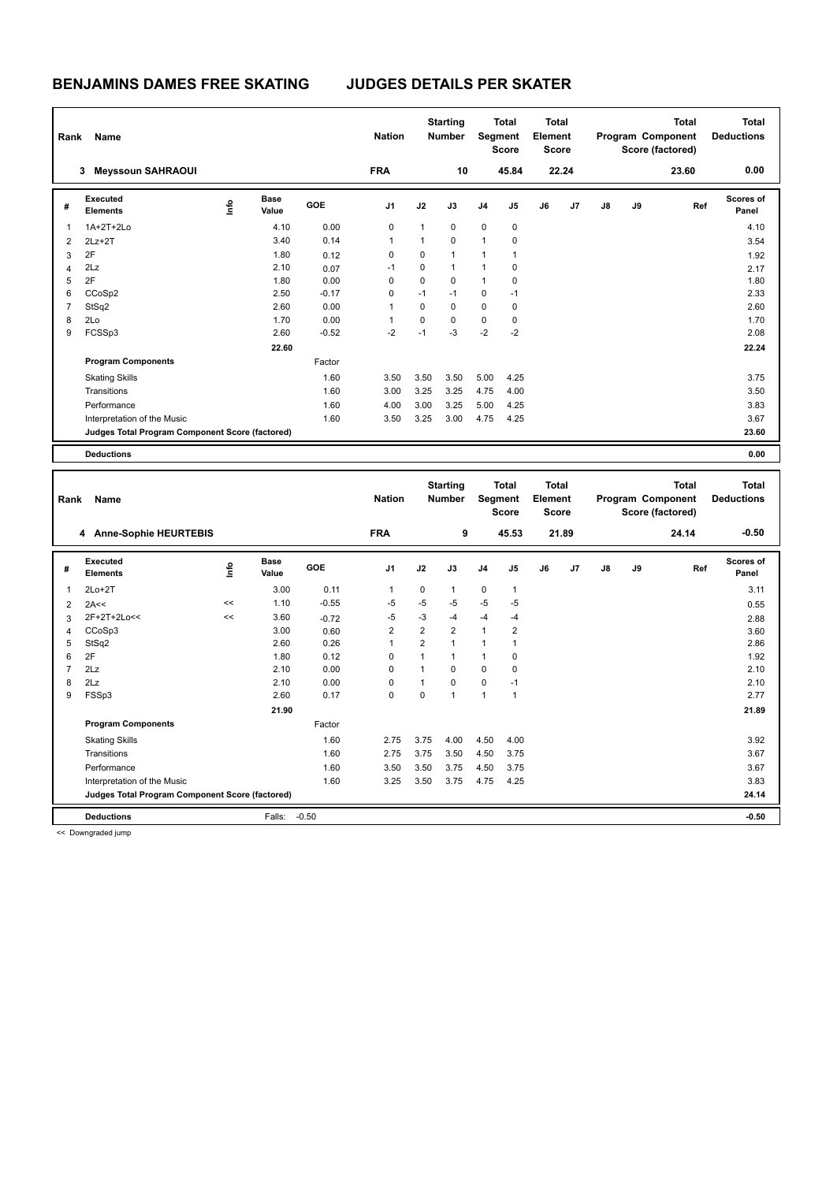| Rank           | Name                                            |      |                      |         | <b>Nation</b>  |              | <b>Starting</b><br><b>Number</b> |                | <b>Total</b><br>Segment<br><b>Score</b> | <b>Total</b><br>Element<br><b>Score</b> |       |               |    | <b>Total</b><br>Program Component<br>Score (factored) | <b>Total</b><br><b>Deductions</b> |
|----------------|-------------------------------------------------|------|----------------------|---------|----------------|--------------|----------------------------------|----------------|-----------------------------------------|-----------------------------------------|-------|---------------|----|-------------------------------------------------------|-----------------------------------|
|                | <b>Meyssoun SAHRAOUI</b><br>3                   |      |                      |         | <b>FRA</b>     |              | 10                               |                | 45.84                                   |                                         | 22.24 |               |    | 23.60                                                 | 0.00                              |
| #              | Executed<br><b>Elements</b>                     | ١mfo | <b>Base</b><br>Value | GOE     | J <sub>1</sub> | J2           | J3                               | J <sub>4</sub> | J <sub>5</sub>                          | J6                                      | J7    | $\mathsf{J}8$ | J9 | Ref                                                   | Scores of<br>Panel                |
| $\overline{1}$ | 1A+2T+2Lo                                       |      | 4.10                 | 0.00    | 0              | $\mathbf{1}$ | $\mathbf 0$                      | $\mathbf 0$    | $\mathbf 0$                             |                                         |       |               |    |                                                       | 4.10                              |
| $\overline{2}$ | $2Lz+2T$                                        |      | 3.40                 | 0.14    | 1              | 1            | $\mathbf 0$                      | $\mathbf{1}$   | 0                                       |                                         |       |               |    |                                                       | 3.54                              |
| 3              | 2F                                              |      | 1.80                 | 0.12    | 0              | 0            | $\mathbf{1}$                     | $\mathbf{1}$   | 1                                       |                                         |       |               |    |                                                       | 1.92                              |
| 4              | 2Lz                                             |      | 2.10                 | 0.07    | $-1$           | $\Omega$     | 1                                | $\mathbf{1}$   | 0                                       |                                         |       |               |    |                                                       | 2.17                              |
| 5              | 2F                                              |      | 1.80                 | 0.00    | 0              | $\Omega$     | $\Omega$                         | $\mathbf{1}$   | $\Omega$                                |                                         |       |               |    |                                                       | 1.80                              |
| 6              | CCoSp2                                          |      | 2.50                 | $-0.17$ | 0              | $-1$         | $-1$                             | $\mathbf 0$    | $-1$                                    |                                         |       |               |    |                                                       | 2.33                              |
| $\overline{7}$ | StSq2                                           |      | 2.60                 | 0.00    | 1              | $\Omega$     | $\Omega$                         | $\mathbf 0$    | 0                                       |                                         |       |               |    |                                                       | 2.60                              |
| 8              | 2Lo                                             |      | 1.70                 | 0.00    | 1              | 0            | $\Omega$                         | $\pmb{0}$      | 0                                       |                                         |       |               |    |                                                       | 1.70                              |
| 9              | FCSSp3                                          |      | 2.60                 | $-0.52$ | $-2$           | $-1$         | $-3$                             | $-2$           | $-2$                                    |                                         |       |               |    |                                                       | 2.08                              |
|                |                                                 |      | 22.60                |         |                |              |                                  |                |                                         |                                         |       |               |    |                                                       | 22.24                             |
|                | <b>Program Components</b>                       |      |                      | Factor  |                |              |                                  |                |                                         |                                         |       |               |    |                                                       |                                   |
|                | <b>Skating Skills</b>                           |      |                      | 1.60    | 3.50           | 3.50         | 3.50                             | 5.00           | 4.25                                    |                                         |       |               |    |                                                       | 3.75                              |
|                | Transitions                                     |      |                      | 1.60    | 3.00           | 3.25         | 3.25                             | 4.75           | 4.00                                    |                                         |       |               |    |                                                       | 3.50                              |
|                | Performance                                     |      |                      | 1.60    | 4.00           | 3.00         | 3.25                             | 5.00           | 4.25                                    |                                         |       |               |    |                                                       | 3.83                              |
|                | Interpretation of the Music                     |      |                      | 1.60    | 3.50           | 3.25         | 3.00                             | 4.75           | 4.25                                    |                                         |       |               |    |                                                       | 3.67                              |
|                | Judges Total Program Component Score (factored) |      |                      |         |                |              |                                  |                |                                         |                                         |       |               |    |                                                       | 23.60                             |
|                | <b>Deductions</b>                               |      |                      |         |                |              |                                  |                |                                         |                                         |       |               |    |                                                       | 0.00                              |
|                |                                                 |      |                      |         |                |              |                                  |                |                                         |                                         |       |               |    |                                                       |                                   |

| Rank           | Name                                            |      |                      |            | <b>Nation</b>  |                | <b>Starting</b><br><b>Number</b> |                | <b>Total</b><br>Segment<br><b>Score</b> | <b>Total</b><br>Element<br><b>Score</b> |       |               |    | <b>Total</b><br>Program Component<br>Score (factored) | <b>Total</b><br><b>Deductions</b> |
|----------------|-------------------------------------------------|------|----------------------|------------|----------------|----------------|----------------------------------|----------------|-----------------------------------------|-----------------------------------------|-------|---------------|----|-------------------------------------------------------|-----------------------------------|
|                | 4 Anne-Sophie HEURTEBIS                         |      |                      |            | <b>FRA</b>     |                | 9                                |                | 45.53                                   |                                         | 21.89 |               |    | 24.14                                                 | $-0.50$                           |
| #              | Executed<br><b>Elements</b>                     | lnfo | <b>Base</b><br>Value | <b>GOE</b> | J <sub>1</sub> | J2             | J3                               | J <sub>4</sub> | J5                                      | J6                                      | J7    | $\mathsf{J}8$ | J9 | Ref                                                   | <b>Scores of</b><br>Panel         |
| 1              | $2Lo+2T$                                        |      | 3.00                 | 0.11       | 1              | $\Omega$       | $\mathbf{1}$                     | $\mathbf 0$    | $\mathbf{1}$                            |                                         |       |               |    |                                                       | 3.11                              |
| $\overline{2}$ | 2A<<                                            | <<   | 1.10                 | $-0.55$    | -5             | $-5$           | -5                               | $-5$           | $-5$                                    |                                         |       |               |    |                                                       | 0.55                              |
| 3              | 2F+2T+2Lo<<                                     | <<   | 3.60                 | $-0.72$    | $-5$           | $-3$           | $-4$                             | $-4$           | $-4$                                    |                                         |       |               |    |                                                       | 2.88                              |
| 4              | CCoSp3                                          |      | 3.00                 | 0.60       | 2              | $\overline{2}$ | $\overline{2}$                   | $\mathbf{1}$   | $\overline{2}$                          |                                         |       |               |    |                                                       | 3.60                              |
| 5              | StSq2                                           |      | 2.60                 | 0.26       | 1              | $\overline{2}$ | $\overline{1}$                   | $\mathbf{1}$   | 1                                       |                                         |       |               |    |                                                       | 2.86                              |
| 6              | 2F                                              |      | 1.80                 | 0.12       | 0              | 1              | $\mathbf{1}$                     | $\mathbf{1}$   | 0                                       |                                         |       |               |    |                                                       | 1.92                              |
| 7              | 2Lz                                             |      | 2.10                 | 0.00       | $\Omega$       | 1              | $\Omega$                         | $\Omega$       | 0                                       |                                         |       |               |    |                                                       | 2.10                              |
| 8              | 2Lz                                             |      | 2.10                 | 0.00       | $\Omega$       | 1              | $\Omega$                         | $\mathbf 0$    | $-1$                                    |                                         |       |               |    |                                                       | 2.10                              |
| 9              | FSSp3                                           |      | 2.60                 | 0.17       | 0              | 0              | $\overline{1}$                   | $\mathbf{1}$   | 1                                       |                                         |       |               |    |                                                       | 2.77                              |
|                |                                                 |      | 21.90                |            |                |                |                                  |                |                                         |                                         |       |               |    |                                                       | 21.89                             |
|                | <b>Program Components</b>                       |      |                      | Factor     |                |                |                                  |                |                                         |                                         |       |               |    |                                                       |                                   |
|                | <b>Skating Skills</b>                           |      |                      | 1.60       | 2.75           | 3.75           | 4.00                             | 4.50           | 4.00                                    |                                         |       |               |    |                                                       | 3.92                              |
|                | Transitions                                     |      |                      | 1.60       | 2.75           | 3.75           | 3.50                             | 4.50           | 3.75                                    |                                         |       |               |    |                                                       | 3.67                              |
|                | Performance                                     |      |                      | 1.60       | 3.50           | 3.50           | 3.75                             | 4.50           | 3.75                                    |                                         |       |               |    |                                                       | 3.67                              |
|                | Interpretation of the Music                     |      |                      | 1.60       | 3.25           | 3.50           | 3.75                             | 4.75           | 4.25                                    |                                         |       |               |    |                                                       | 3.83                              |
|                | Judges Total Program Component Score (factored) |      |                      |            |                |                |                                  |                |                                         |                                         |       |               |    |                                                       | 24.14                             |
|                | <b>Deductions</b>                               |      | Falls:               | $-0.50$    |                |                |                                  |                |                                         |                                         |       |               |    |                                                       | $-0.50$                           |

<< Downgraded jump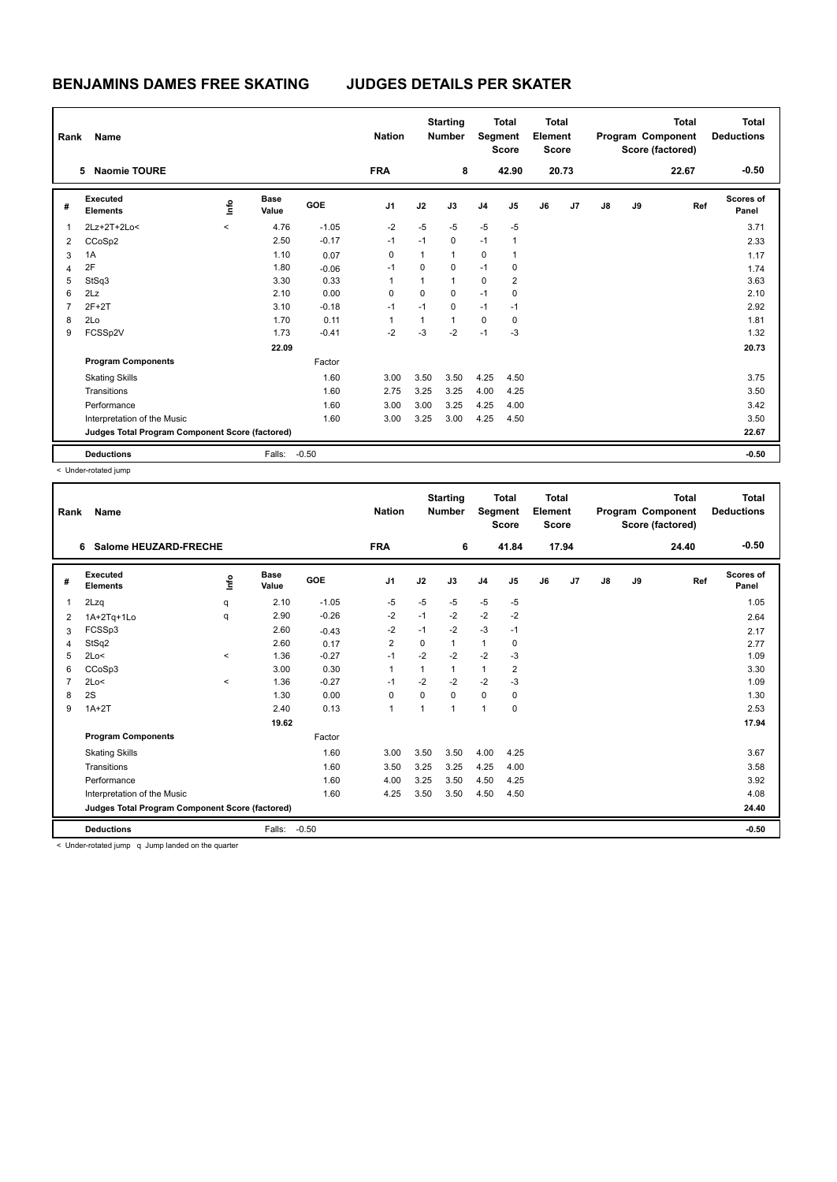| Rank           | Name                                            |         |                      |            | <b>Nation</b>  |                | <b>Starting</b><br><b>Number</b> |                | <b>Total</b><br>Segment<br><b>Score</b> | <b>Total</b><br>Element<br>Score |       |    |    | <b>Total</b><br>Program Component<br>Score (factored) | Total<br><b>Deductions</b> |
|----------------|-------------------------------------------------|---------|----------------------|------------|----------------|----------------|----------------------------------|----------------|-----------------------------------------|----------------------------------|-------|----|----|-------------------------------------------------------|----------------------------|
|                | <b>Naomie TOURE</b><br>5                        |         |                      |            | <b>FRA</b>     |                | 8                                |                | 42.90                                   |                                  | 20.73 |    |    | 22.67                                                 | $-0.50$                    |
| #              | Executed<br><b>Elements</b>                     | lnfo    | <b>Base</b><br>Value | <b>GOE</b> | J <sub>1</sub> | J2             | J3                               | J <sub>4</sub> | J5                                      | J6                               | J7    | J8 | J9 | Ref                                                   | Scores of<br>Panel         |
| 1              | 2Lz+2T+2Lo<                                     | $\prec$ | 4.76                 | $-1.05$    | $-2$           | $-5$           | $-5$                             | $-5$           | $-5$                                    |                                  |       |    |    |                                                       | 3.71                       |
| $\overline{2}$ | CCoSp2                                          |         | 2.50                 | $-0.17$    | $-1$           | $-1$           | 0                                | $-1$           | $\mathbf{1}$                            |                                  |       |    |    |                                                       | 2.33                       |
| 3              | 1A                                              |         | 1.10                 | 0.07       | 0              | 1              | $\mathbf{1}$                     | 0              | $\overline{1}$                          |                                  |       |    |    |                                                       | 1.17                       |
| 4              | 2F                                              |         | 1.80                 | $-0.06$    | $-1$           | 0              | $\mathbf 0$                      | $-1$           | 0                                       |                                  |       |    |    |                                                       | 1.74                       |
| 5              | StSq3                                           |         | 3.30                 | 0.33       | $\mathbf{1}$   | $\overline{1}$ | $\mathbf{1}$                     | 0              | $\overline{2}$                          |                                  |       |    |    |                                                       | 3.63                       |
| 6              | 2Lz                                             |         | 2.10                 | 0.00       | 0              | 0              | $\mathbf 0$                      | $-1$           | 0                                       |                                  |       |    |    |                                                       | 2.10                       |
| $\overline{7}$ | $2F+2T$                                         |         | 3.10                 | $-0.18$    | $-1$           | $-1$           | $\mathbf 0$                      | $-1$           | $-1$                                    |                                  |       |    |    |                                                       | 2.92                       |
| 8              | 2Lo                                             |         | 1.70                 | 0.11       | 1              | 1              | $\mathbf{1}$                     | 0              | 0                                       |                                  |       |    |    |                                                       | 1.81                       |
| 9              | FCSSp2V                                         |         | 1.73                 | $-0.41$    | $-2$           | $-3$           | $-2$                             | $-1$           | $-3$                                    |                                  |       |    |    |                                                       | 1.32                       |
|                |                                                 |         | 22.09                |            |                |                |                                  |                |                                         |                                  |       |    |    |                                                       | 20.73                      |
|                | <b>Program Components</b>                       |         |                      | Factor     |                |                |                                  |                |                                         |                                  |       |    |    |                                                       |                            |
|                | <b>Skating Skills</b>                           |         |                      | 1.60       | 3.00           | 3.50           | 3.50                             | 4.25           | 4.50                                    |                                  |       |    |    |                                                       | 3.75                       |
|                | Transitions                                     |         |                      | 1.60       | 2.75           | 3.25           | 3.25                             | 4.00           | 4.25                                    |                                  |       |    |    |                                                       | 3.50                       |
|                | Performance                                     |         |                      | 1.60       | 3.00           | 3.00           | 3.25                             | 4.25           | 4.00                                    |                                  |       |    |    |                                                       | 3.42                       |
|                | Interpretation of the Music                     |         |                      | 1.60       | 3.00           | 3.25           | 3.00                             | 4.25           | 4.50                                    |                                  |       |    |    |                                                       | 3.50                       |
|                | Judges Total Program Component Score (factored) |         |                      |            |                |                |                                  |                |                                         |                                  |       |    |    |                                                       | 22.67                      |
|                | <b>Deductions</b>                               |         | Falls:               | $-0.50$    |                |                |                                  |                |                                         |                                  |       |    |    |                                                       | $-0.50$                    |

< Under-rotated jump

| Rank           | <b>Name</b>                                                                                                     |                          |               |         | <b>Nation</b>  |              | <b>Starting</b><br><b>Number</b> | Segment        | <b>Total</b><br><b>Score</b> | Total<br>Element<br><b>Score</b> |       |               |    | <b>Total</b><br>Program Component<br>Score (factored) | Total<br><b>Deductions</b> |
|----------------|-----------------------------------------------------------------------------------------------------------------|--------------------------|---------------|---------|----------------|--------------|----------------------------------|----------------|------------------------------|----------------------------------|-------|---------------|----|-------------------------------------------------------|----------------------------|
|                | Salome HEUZARD-FRECHE<br>6                                                                                      |                          |               |         | <b>FRA</b>     |              | 6                                |                | 41.84                        |                                  | 17.94 |               |    | 24.40                                                 | $-0.50$                    |
| #              | Executed<br><b>Elements</b>                                                                                     | ١ifo                     | Base<br>Value | GOE     | J <sub>1</sub> | J2           | J3                               | J <sub>4</sub> | J5                           | J6                               | J7    | $\mathsf{J}8$ | J9 | Ref                                                   | <b>Scores of</b><br>Panel  |
| 1              | 2Lzq                                                                                                            | q                        | 2.10          | $-1.05$ | -5             | $-5$         | $-5$                             | $-5$           | $-5$                         |                                  |       |               |    |                                                       | 1.05                       |
| 2              | 1A+2Tq+1Lo                                                                                                      | q                        | 2.90          | $-0.26$ | $-2$           | $-1$         | $-2$                             | $-2$           | $-2$                         |                                  |       |               |    |                                                       | 2.64                       |
| 3              | FCSSp3                                                                                                          |                          | 2.60          | $-0.43$ | $-2$           | $-1$         | $-2$                             | $-3$           | $-1$                         |                                  |       |               |    |                                                       | 2.17                       |
| 4              | StSq2                                                                                                           |                          | 2.60          | 0.17    | $\overline{2}$ | $\Omega$     |                                  | $\mathbf{1}$   | 0                            |                                  |       |               |    |                                                       | 2.77                       |
| 5              | 2Lo<                                                                                                            | $\overline{\phantom{0}}$ | 1.36          | $-0.27$ | $-1$           | $-2$         | $-2$                             | $-2$           | $-3$                         |                                  |       |               |    |                                                       | 1.09                       |
| 6              | CCoSp3                                                                                                          |                          | 3.00          | 0.30    | 1              | 1            |                                  | $\mathbf{1}$   | $\overline{2}$               |                                  |       |               |    |                                                       | 3.30                       |
| $\overline{7}$ | 2Lo<                                                                                                            | $\prec$                  | 1.36          | $-0.27$ | $-1$           | $-2$         | $-2$                             | $-2$           | $-3$                         |                                  |       |               |    |                                                       | 1.09                       |
| 8              | 2S                                                                                                              |                          | 1.30          | 0.00    | 0              | $\Omega$     | $\Omega$                         | $\mathbf 0$    | $\mathbf 0$                  |                                  |       |               |    |                                                       | 1.30                       |
| 9              | $1A+2T$                                                                                                         |                          | 2.40          | 0.13    | 1              | $\mathbf{1}$ |                                  | $\mathbf{1}$   | $\Omega$                     |                                  |       |               |    |                                                       | 2.53                       |
|                |                                                                                                                 |                          | 19.62         |         |                |              |                                  |                |                              |                                  |       |               |    |                                                       | 17.94                      |
|                | <b>Program Components</b>                                                                                       |                          |               | Factor  |                |              |                                  |                |                              |                                  |       |               |    |                                                       |                            |
|                | <b>Skating Skills</b>                                                                                           |                          |               | 1.60    | 3.00           | 3.50         | 3.50                             | 4.00           | 4.25                         |                                  |       |               |    |                                                       | 3.67                       |
|                | Transitions                                                                                                     |                          |               | 1.60    | 3.50           | 3.25         | 3.25                             | 4.25           | 4.00                         |                                  |       |               |    |                                                       | 3.58                       |
|                | Performance                                                                                                     |                          |               | 1.60    | 4.00           | 3.25         | 3.50                             | 4.50           | 4.25                         |                                  |       |               |    |                                                       | 3.92                       |
|                | Interpretation of the Music                                                                                     |                          |               | 1.60    | 4.25           | 3.50         | 3.50                             | 4.50           | 4.50                         |                                  |       |               |    |                                                       | 4.08                       |
|                | Judges Total Program Component Score (factored)                                                                 |                          |               |         |                |              |                                  |                |                              |                                  |       |               |    |                                                       | 24.40                      |
|                | <b>Deductions</b>                                                                                               |                          | Falls:        | $-0.50$ |                |              |                                  |                |                              |                                  |       |               |    |                                                       | $-0.50$                    |
|                | the contract of the contract of the contract of the contract of the contract of the contract of the contract of |                          |               |         |                |              |                                  |                |                              |                                  |       |               |    |                                                       |                            |

< Under-rotated jump q Jump landed on the quarter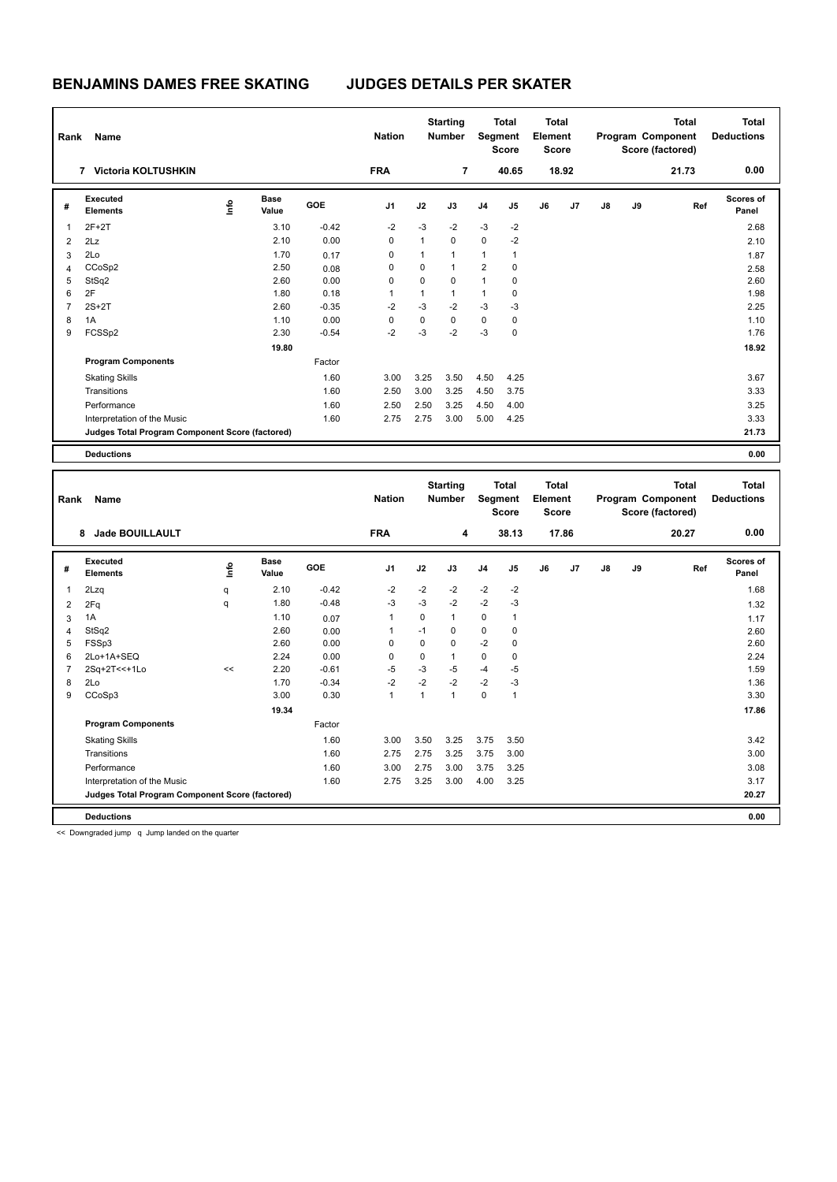| Rank           | <b>Name</b>                                     |    |                      |            | <b>Nation</b>  |              | <b>Starting</b><br><b>Number</b> |                | <b>Total</b><br>Segment<br><b>Score</b> | <b>Total</b><br>Element<br><b>Score</b> |       |               |    | <b>Total</b><br>Program Component<br>Score (factored) | <b>Total</b><br><b>Deductions</b> |
|----------------|-------------------------------------------------|----|----------------------|------------|----------------|--------------|----------------------------------|----------------|-----------------------------------------|-----------------------------------------|-------|---------------|----|-------------------------------------------------------|-----------------------------------|
|                | 7 Victoria KOLTUSHKIN                           |    |                      |            | <b>FRA</b>     |              | $\overline{7}$                   |                | 40.65                                   |                                         | 18.92 |               |    | 21.73                                                 | 0.00                              |
| #              | Executed<br><b>Elements</b>                     | ١m | <b>Base</b><br>Value | <b>GOE</b> | J <sub>1</sub> | J2           | J3                               | J <sub>4</sub> | J5                                      | J6                                      | J7    | $\mathsf{J}8$ | J9 | Ref                                                   | <b>Scores of</b><br>Panel         |
| $\overline{1}$ | $2F+2T$                                         |    | 3.10                 | $-0.42$    | $-2$           | $-3$         | $-2$                             | $-3$           | $-2$                                    |                                         |       |               |    |                                                       | 2.68                              |
| $\overline{2}$ | 2Lz                                             |    | 2.10                 | 0.00       | 0              | $\mathbf{1}$ | $\pmb{0}$                        | $\mathbf 0$    | $-2$                                    |                                         |       |               |    |                                                       | 2.10                              |
| 3              | 2Lo                                             |    | 1.70                 | 0.17       | 0              | $\mathbf{1}$ | $\overline{1}$                   | $\mathbf{1}$   | 1                                       |                                         |       |               |    |                                                       | 1.87                              |
| $\overline{4}$ | CCoSp2                                          |    | 2.50                 | 0.08       | 0              | 0            | $\overline{1}$                   | $\overline{2}$ | 0                                       |                                         |       |               |    |                                                       | 2.58                              |
| 5              | StSq2                                           |    | 2.60                 | 0.00       | 0              | 0            | 0                                | $\mathbf{1}$   | 0                                       |                                         |       |               |    |                                                       | 2.60                              |
| 6              | 2F                                              |    | 1.80                 | 0.18       | 1              | 1            | $\mathbf{1}$                     | $\mathbf{1}$   | 0                                       |                                         |       |               |    |                                                       | 1.98                              |
| $\overline{7}$ | $2S+2T$                                         |    | 2.60                 | $-0.35$    | $-2$           | $-3$         | $-2$                             | $-3$           | $-3$                                    |                                         |       |               |    |                                                       | 2.25                              |
| 8              | 1A                                              |    | 1.10                 | 0.00       | 0              | 0            | $\mathbf 0$                      | $\mathbf 0$    | $\mathbf 0$                             |                                         |       |               |    |                                                       | 1.10                              |
| 9              | FCSSp2                                          |    | 2.30                 | $-0.54$    | $-2$           | $-3$         | $-2$                             | $-3$           | 0                                       |                                         |       |               |    |                                                       | 1.76                              |
|                |                                                 |    | 19.80                |            |                |              |                                  |                |                                         |                                         |       |               |    |                                                       | 18.92                             |
|                | <b>Program Components</b>                       |    |                      | Factor     |                |              |                                  |                |                                         |                                         |       |               |    |                                                       |                                   |
|                | <b>Skating Skills</b>                           |    |                      | 1.60       | 3.00           | 3.25         | 3.50                             | 4.50           | 4.25                                    |                                         |       |               |    |                                                       | 3.67                              |
|                | Transitions                                     |    |                      | 1.60       | 2.50           | 3.00         | 3.25                             | 4.50           | 3.75                                    |                                         |       |               |    |                                                       | 3.33                              |
|                | Performance                                     |    |                      | 1.60       | 2.50           | 2.50         | 3.25                             | 4.50           | 4.00                                    |                                         |       |               |    |                                                       | 3.25                              |
|                | Interpretation of the Music                     |    |                      | 1.60       | 2.75           | 2.75         | 3.00                             | 5.00           | 4.25                                    |                                         |       |               |    |                                                       | 3.33                              |
|                | Judges Total Program Component Score (factored) |    |                      |            |                |              |                                  |                |                                         |                                         |       |               |    |                                                       | 21.73                             |
|                | <b>Deductions</b>                               |    |                      |            |                |              |                                  |                |                                         |                                         |       |               |    |                                                       | 0.00                              |

| Rank           | Name                                            |      |                      |            | <b>Nation</b>  |              | <b>Starting</b><br><b>Number</b> |                | <b>Total</b><br>Segment<br><b>Score</b> | <b>Total</b><br>Element<br><b>Score</b> |       |    |    | <b>Total</b><br>Program Component<br>Score (factored) | Total<br><b>Deductions</b> |
|----------------|-------------------------------------------------|------|----------------------|------------|----------------|--------------|----------------------------------|----------------|-----------------------------------------|-----------------------------------------|-------|----|----|-------------------------------------------------------|----------------------------|
|                | <b>Jade BOUILLAULT</b><br>8                     |      |                      |            | <b>FRA</b>     |              | 4                                |                | 38.13                                   |                                         | 17.86 |    |    | 20.27                                                 | 0.00                       |
| #              | Executed<br><b>Elements</b>                     | lnfo | <b>Base</b><br>Value | <b>GOE</b> | J <sub>1</sub> | J2           | J3                               | J <sub>4</sub> | J <sub>5</sub>                          | J6                                      | J7    | J8 | J9 | Ref                                                   | <b>Scores of</b><br>Panel  |
| 1              | 2Lzq                                            | q    | 2.10                 | $-0.42$    | $-2$           | $-2$         | $-2$                             | $-2$           | $-2$                                    |                                         |       |    |    |                                                       | 1.68                       |
| $\overline{2}$ | 2Fq                                             | q    | 1.80                 | $-0.48$    | $-3$           | $-3$         | $-2$                             | $-2$           | $-3$                                    |                                         |       |    |    |                                                       | 1.32                       |
| 3              | 1A                                              |      | 1.10                 | 0.07       |                | $\Omega$     | $\mathbf{1}$                     | 0              | $\mathbf{1}$                            |                                         |       |    |    |                                                       | 1.17                       |
| 4              | StSq2                                           |      | 2.60                 | 0.00       |                | $-1$         | 0                                | 0              | 0                                       |                                         |       |    |    |                                                       | 2.60                       |
| 5              | FSSp3                                           |      | 2.60                 | 0.00       | 0              | $\mathbf 0$  | $\mathbf 0$                      | $-2$           | 0                                       |                                         |       |    |    |                                                       | 2.60                       |
| 6              | 2Lo+1A+SEQ                                      |      | 2.24                 | 0.00       | 0              | 0            | $\mathbf{1}$                     | 0              | $\Omega$                                |                                         |       |    |    |                                                       | 2.24                       |
| 7              | 2Sq+2T<<+1Lo                                    | <<   | 2.20                 | $-0.61$    | $-5$           | $-3$         | $-5$                             | $-4$           | $-5$                                    |                                         |       |    |    |                                                       | 1.59                       |
| 8              | 2Lo                                             |      | 1.70                 | $-0.34$    | $-2$           | $-2$         | $-2$                             | $-2$           | $-3$                                    |                                         |       |    |    |                                                       | 1.36                       |
| 9              | CCoSp3                                          |      | 3.00                 | 0.30       | 1              | $\mathbf{1}$ | $\mathbf{1}$                     | 0              | $\overline{1}$                          |                                         |       |    |    |                                                       | 3.30                       |
|                |                                                 |      | 19.34                |            |                |              |                                  |                |                                         |                                         |       |    |    |                                                       | 17.86                      |
|                | <b>Program Components</b>                       |      |                      | Factor     |                |              |                                  |                |                                         |                                         |       |    |    |                                                       |                            |
|                | <b>Skating Skills</b>                           |      |                      | 1.60       | 3.00           | 3.50         | 3.25                             | 3.75           | 3.50                                    |                                         |       |    |    |                                                       | 3.42                       |
|                | Transitions                                     |      |                      | 1.60       | 2.75           | 2.75         | 3.25                             | 3.75           | 3.00                                    |                                         |       |    |    |                                                       | 3.00                       |
|                | Performance                                     |      |                      | 1.60       | 3.00           | 2.75         | 3.00                             | 3.75           | 3.25                                    |                                         |       |    |    |                                                       | 3.08                       |
|                | Interpretation of the Music                     |      |                      | 1.60       | 2.75           | 3.25         | 3.00                             | 4.00           | 3.25                                    |                                         |       |    |    |                                                       | 3.17                       |
|                | Judges Total Program Component Score (factored) |      |                      |            |                |              |                                  |                |                                         |                                         |       |    |    |                                                       | 20.27                      |
|                | <b>Deductions</b>                               |      |                      |            |                |              |                                  |                |                                         |                                         |       |    |    |                                                       | 0.00                       |

<< Downgraded jump q Jump landed on the quarter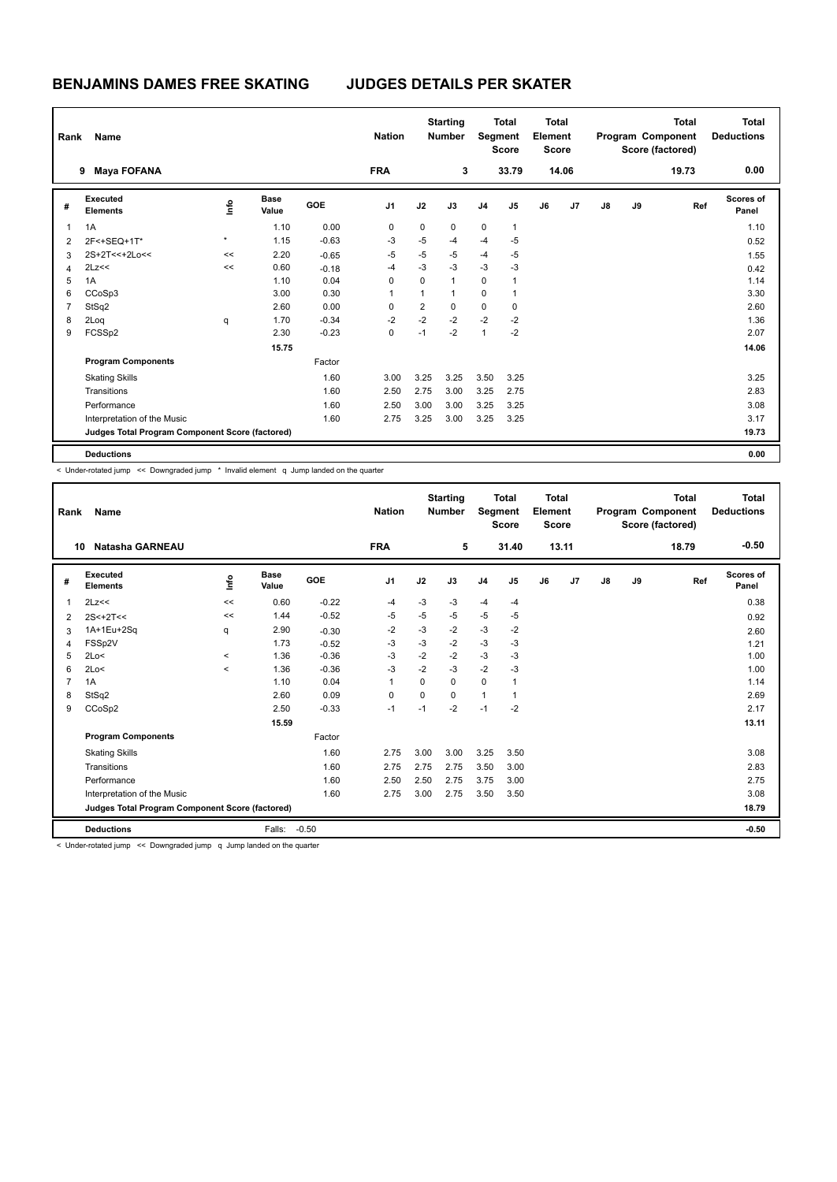| Rank           | <b>Name</b>                                     |         |                      |            | <b>Nation</b>  |      | <b>Starting</b><br><b>Number</b> |                | <b>Total</b><br>Segment<br><b>Score</b> | <b>Total</b><br>Element<br><b>Score</b> |       |               |    | <b>Total</b><br>Program Component<br>Score (factored) | <b>Total</b><br><b>Deductions</b> |
|----------------|-------------------------------------------------|---------|----------------------|------------|----------------|------|----------------------------------|----------------|-----------------------------------------|-----------------------------------------|-------|---------------|----|-------------------------------------------------------|-----------------------------------|
|                | <b>Maya FOFANA</b><br>9                         |         |                      |            | <b>FRA</b>     |      | 3                                |                | 33.79                                   |                                         | 14.06 |               |    | 19.73                                                 | 0.00                              |
| #              | Executed<br><b>Elements</b>                     | ١mfo    | <b>Base</b><br>Value | <b>GOE</b> | J <sub>1</sub> | J2   | J3                               | J <sub>4</sub> | J5                                      | J6                                      | J7    | $\mathsf{J}8$ | J9 | Ref                                                   | <b>Scores of</b><br>Panel         |
| $\overline{1}$ | 1A                                              |         | 1.10                 | 0.00       | $\mathbf 0$    | 0    | $\mathbf 0$                      | $\mathbf 0$    | $\mathbf{1}$                            |                                         |       |               |    |                                                       | 1.10                              |
| 2              | 2F<+SEQ+1T*                                     | $\star$ | 1.15                 | $-0.63$    | $-3$           | $-5$ | $-4$                             | $-4$           | $-5$                                    |                                         |       |               |    |                                                       | 0.52                              |
| 3              | 2S+2T<<+2Lo<<                                   | <<      | 2.20                 | $-0.65$    | $-5$           | -5   | $-5$                             | $-4$           | -5                                      |                                         |       |               |    |                                                       | 1.55                              |
| 4              | 2Lz<<                                           | <<      | 0.60                 | $-0.18$    | $-4$           | $-3$ | $-3$                             | $-3$           | $-3$                                    |                                         |       |               |    |                                                       | 0.42                              |
| 5              | 1A                                              |         | 1.10                 | 0.04       | 0              | 0    | $\overline{1}$                   | 0              |                                         |                                         |       |               |    |                                                       | 1.14                              |
| 6              | CCoSp3                                          |         | 3.00                 | 0.30       | 1              | 1    | $\mathbf 1$                      | 0              | 1                                       |                                         |       |               |    |                                                       | 3.30                              |
| $\overline{7}$ | StSq2                                           |         | 2.60                 | 0.00       | 0              | 2    | 0                                | $\mathbf 0$    | 0                                       |                                         |       |               |    |                                                       | 2.60                              |
| 8              | 2Log                                            | q       | 1.70                 | $-0.34$    | $-2$           | $-2$ | $-2$                             | $-2$           | $-2$                                    |                                         |       |               |    |                                                       | 1.36                              |
| 9              | FCSSp2                                          |         | 2.30                 | $-0.23$    | 0              | $-1$ | $-2$                             | $\mathbf{1}$   | $-2$                                    |                                         |       |               |    |                                                       | 2.07                              |
|                |                                                 |         | 15.75                |            |                |      |                                  |                |                                         |                                         |       |               |    |                                                       | 14.06                             |
|                | <b>Program Components</b>                       |         |                      | Factor     |                |      |                                  |                |                                         |                                         |       |               |    |                                                       |                                   |
|                | <b>Skating Skills</b>                           |         |                      | 1.60       | 3.00           | 3.25 | 3.25                             | 3.50           | 3.25                                    |                                         |       |               |    |                                                       | 3.25                              |
|                | Transitions                                     |         |                      | 1.60       | 2.50           | 2.75 | 3.00                             | 3.25           | 2.75                                    |                                         |       |               |    |                                                       | 2.83                              |
|                | Performance                                     |         |                      | 1.60       | 2.50           | 3.00 | 3.00                             | 3.25           | 3.25                                    |                                         |       |               |    |                                                       | 3.08                              |
|                | Interpretation of the Music                     |         |                      | 1.60       | 2.75           | 3.25 | 3.00                             | 3.25           | 3.25                                    |                                         |       |               |    |                                                       | 3.17                              |
|                | Judges Total Program Component Score (factored) |         |                      |            |                |      |                                  |                |                                         |                                         |       |               |    |                                                       | 19.73                             |
|                | <b>Deductions</b>                               |         |                      |            |                |      |                                  |                |                                         |                                         |       |               |    |                                                       | 0.00                              |

< Under-rotated jump << Downgraded jump \* Invalid element q Jump landed on the quarter

| Rank         | Name                                            |            |                      |         | <b>Nation</b>  |      | <b>Starting</b><br><b>Number</b> | Segment        | <b>Total</b><br><b>Score</b> | <b>Total</b><br>Element<br><b>Score</b> |       |               |    | <b>Total</b><br>Program Component<br>Score (factored) | <b>Total</b><br><b>Deductions</b> |
|--------------|-------------------------------------------------|------------|----------------------|---------|----------------|------|----------------------------------|----------------|------------------------------|-----------------------------------------|-------|---------------|----|-------------------------------------------------------|-----------------------------------|
| 10           | <b>Natasha GARNEAU</b>                          |            |                      |         | <b>FRA</b>     |      | 5                                |                | 31.40                        |                                         | 13.11 |               |    | 18.79                                                 | $-0.50$                           |
| #            | Executed<br><b>Elements</b>                     | <b>Lin</b> | <b>Base</b><br>Value | GOE     | J <sub>1</sub> | J2   | J3                               | J <sub>4</sub> | J5                           | J6                                      | J7    | $\mathsf{J}8$ | J9 | Ref                                                   | Scores of<br>Panel                |
| $\mathbf{1}$ | 2Lz<<                                           | <<         | 0.60                 | $-0.22$ | $-4$           | $-3$ | $-3$                             | -4             | $-4$                         |                                         |       |               |    |                                                       | 0.38                              |
| 2            | $2S<+2T<<$                                      | <<         | 1.44                 | $-0.52$ | $-5$           | $-5$ | $-5$                             | $-5$           | $-5$                         |                                         |       |               |    |                                                       | 0.92                              |
| 3            | 1A+1Eu+2Sq                                      | q          | 2.90                 | $-0.30$ | $-2$           | $-3$ | $-2$                             | $-3$           | $-2$                         |                                         |       |               |    |                                                       | 2.60                              |
| 4            | FSSp2V                                          |            | 1.73                 | $-0.52$ | $-3$           | $-3$ | $-2$                             | $-3$           | $-3$                         |                                         |       |               |    |                                                       | 1.21                              |
| 5            | 2Lo<                                            | $\hat{~}$  | 1.36                 | $-0.36$ | $-3$           | $-2$ | $-2$                             | $-3$           | $-3$                         |                                         |       |               |    |                                                       | 1.00                              |
| 6            | 2Lo<                                            | $\prec$    | 1.36                 | $-0.36$ | $-3$           | $-2$ | $-3$                             | $-2$           | $-3$                         |                                         |       |               |    |                                                       | 1.00                              |
| 7            | 1A                                              |            | 1.10                 | 0.04    | 1              | 0    | 0                                | $\mathbf 0$    | 1                            |                                         |       |               |    |                                                       | 1.14                              |
| 8            | StSq2                                           |            | 2.60                 | 0.09    | $\Omega$       | 0    | $\Omega$                         | $\mathbf{1}$   | 1                            |                                         |       |               |    |                                                       | 2.69                              |
| 9            | CCoSp2                                          |            | 2.50                 | $-0.33$ | $-1$           | $-1$ | $-2$                             | $-1$           | $-2$                         |                                         |       |               |    |                                                       | 2.17                              |
|              |                                                 |            | 15.59                |         |                |      |                                  |                |                              |                                         |       |               |    |                                                       | 13.11                             |
|              | <b>Program Components</b>                       |            |                      | Factor  |                |      |                                  |                |                              |                                         |       |               |    |                                                       |                                   |
|              | <b>Skating Skills</b>                           |            |                      | 1.60    | 2.75           | 3.00 | 3.00                             | 3.25           | 3.50                         |                                         |       |               |    |                                                       | 3.08                              |
|              | Transitions                                     |            |                      | 1.60    | 2.75           | 2.75 | 2.75                             | 3.50           | 3.00                         |                                         |       |               |    |                                                       | 2.83                              |
|              | Performance                                     |            |                      | 1.60    | 2.50           | 2.50 | 2.75                             | 3.75           | 3.00                         |                                         |       |               |    |                                                       | 2.75                              |
|              | Interpretation of the Music                     |            |                      | 1.60    | 2.75           | 3.00 | 2.75                             | 3.50           | 3.50                         |                                         |       |               |    |                                                       | 3.08                              |
|              | Judges Total Program Component Score (factored) |            |                      |         |                |      |                                  |                |                              |                                         |       |               |    |                                                       | 18.79                             |
|              | <b>Deductions</b>                               |            | Falls:               | $-0.50$ |                |      |                                  |                |                              |                                         |       |               |    |                                                       | $-0.50$                           |

< Under-rotated jump << Downgraded jump q Jump landed on the quarter